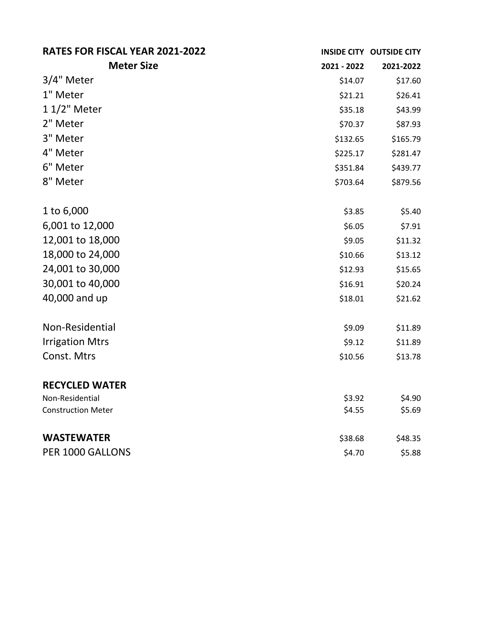| RATES FOR FISCAL YEAR 2021-2022 |             | INSIDE CITY OUTSIDE CITY |
|---------------------------------|-------------|--------------------------|
| <b>Meter Size</b>               | 2021 - 2022 | 2021-2022                |
| 3/4" Meter                      | \$14.07     | \$17.60                  |
| 1" Meter                        | \$21.21     | \$26.41                  |
| 1 1/2" Meter                    | \$35.18     | \$43.99                  |
| 2" Meter                        | \$70.37     | \$87.93                  |
| 3" Meter                        | \$132.65    | \$165.79                 |
| 4" Meter                        | \$225.17    | \$281.47                 |
| 6" Meter                        | \$351.84    | \$439.77                 |
| 8" Meter                        | \$703.64    | \$879.56                 |
| 1 to 6,000                      | \$3.85      | \$5.40                   |
| 6,001 to 12,000                 | \$6.05      | \$7.91                   |
| 12,001 to 18,000                | \$9.05      | \$11.32                  |
| 18,000 to 24,000                | \$10.66     | \$13.12                  |
| 24,001 to 30,000                | \$12.93     | \$15.65                  |
| 30,001 to 40,000                | \$16.91     | \$20.24                  |
| 40,000 and up                   | \$18.01     | \$21.62                  |
| Non-Residential                 | \$9.09      | \$11.89                  |
| <b>Irrigation Mtrs</b>          | \$9.12      | \$11.89                  |
| Const. Mtrs                     | \$10.56     | \$13.78                  |
| <b>RECYCLED WATER</b>           |             |                          |
| Non-Residential                 | \$3.92      | \$4.90                   |
| <b>Construction Meter</b>       | \$4.55      | \$5.69                   |
| <b>WASTEWATER</b>               | \$38.68     | \$48.35                  |
| PER 1000 GALLONS                | \$4.70      | \$5.88                   |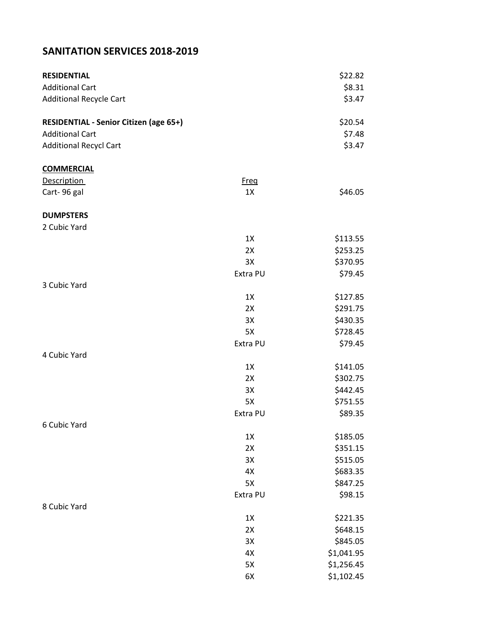## **SANITATION SERVICES 2018-2019**

| <b>RESIDENTIAL</b>                            |             | \$22.82    |
|-----------------------------------------------|-------------|------------|
| <b>Additional Cart</b>                        |             | \$8.31     |
| <b>Additional Recycle Cart</b>                |             | \$3.47     |
| <b>RESIDENTIAL - Senior Citizen (age 65+)</b> |             | \$20.54    |
| <b>Additional Cart</b>                        |             | \$7.48     |
| <b>Additional Recycl Cart</b>                 |             | \$3.47     |
| <b>COMMERCIAL</b>                             |             |            |
| <b>Description</b>                            | <b>Freg</b> |            |
| Cart-96 gal                                   | 1X          | \$46.05    |
| <b>DUMPSTERS</b>                              |             |            |
| 2 Cubic Yard                                  |             |            |
|                                               | 1X          | \$113.55   |
|                                               | 2X          | \$253.25   |
|                                               | 3X          | \$370.95   |
|                                               | Extra PU    | \$79.45    |
| 3 Cubic Yard                                  |             |            |
|                                               | 1X          | \$127.85   |
|                                               | 2X          | \$291.75   |
|                                               | 3X          | \$430.35   |
|                                               | 5X          | \$728.45   |
|                                               | Extra PU    | \$79.45    |
| 4 Cubic Yard                                  |             |            |
|                                               | 1X          | \$141.05   |
|                                               | 2X          | \$302.75   |
|                                               | 3X          | \$442.45   |
|                                               | 5X          | \$751.55   |
|                                               | Extra PU    | \$89.35    |
| 6 Cubic Yard                                  |             |            |
|                                               | $1X$        | \$185.05   |
|                                               | 2X          | \$351.15   |
|                                               | 3X          | \$515.05   |
|                                               | 4X          | \$683.35   |
|                                               | 5X          | \$847.25   |
|                                               | Extra PU    | \$98.15    |
| 8 Cubic Yard                                  |             |            |
|                                               | 1X          | \$221.35   |
|                                               | 2X          | \$648.15   |
|                                               | 3X          | \$845.05   |
|                                               | 4X          | \$1,041.95 |
|                                               | 5X          | \$1,256.45 |
|                                               | 6X          | \$1,102.45 |